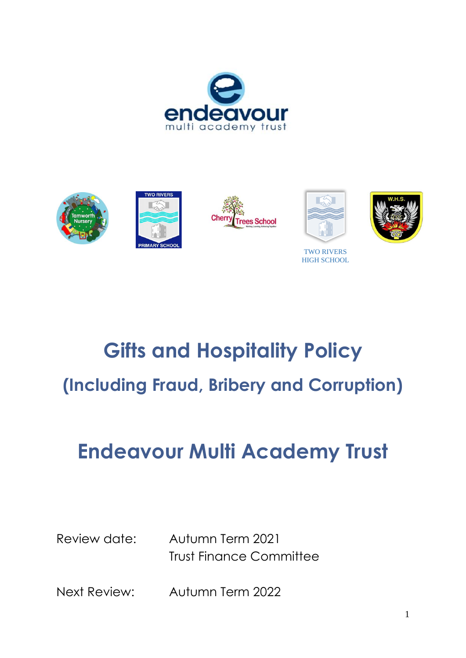





HIGH SCHOOL

**Gifts and Hospitality Policy (Including Fraud, Bribery and Corruption)**

# **Endeavour Multi Academy Trust**

Review date: Autumn Term 2021 Trust Finance Committee

Next Review: Autumn Term 2022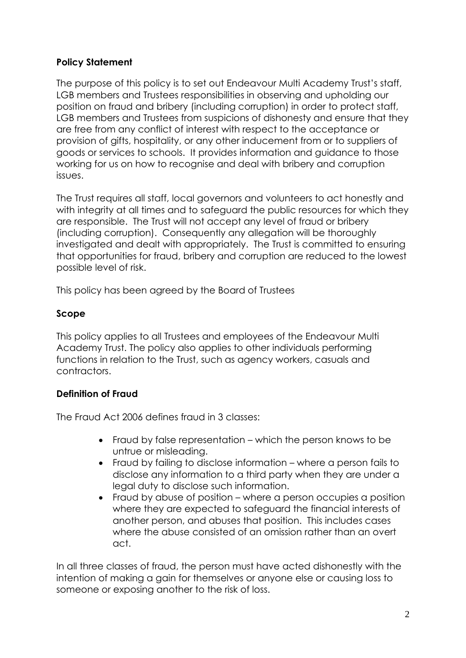## **Policy Statement**

The purpose of this policy is to set out Endeavour Multi Academy Trust's staff, LGB members and Trustees responsibilities in observing and upholding our position on fraud and bribery (including corruption) in order to protect staff, LGB members and Trustees from suspicions of dishonesty and ensure that they are free from any conflict of interest with respect to the acceptance or provision of gifts, hospitality, or any other inducement from or to suppliers of goods or services to schools. It provides information and guidance to those working for us on how to recognise and deal with bribery and corruption issues.

The Trust requires all staff, local governors and volunteers to act honestly and with integrity at all times and to safeguard the public resources for which they are responsible. The Trust will not accept any level of fraud or bribery (including corruption). Consequently any allegation will be thoroughly investigated and dealt with appropriately. The Trust is committed to ensuring that opportunities for fraud, bribery and corruption are reduced to the lowest possible level of risk.

This policy has been agreed by the Board of Trustees

## **Scope**

This policy applies to all Trustees and employees of the Endeavour Multi Academy Trust. The policy also applies to other individuals performing functions in relation to the Trust, such as agency workers, casuals and contractors.

## **Definition of Fraud**

The Fraud Act 2006 defines fraud in 3 classes:

- Fraud by false representation which the person knows to be untrue or misleading.
- Fraud by failing to disclose information where a person fails to disclose any information to a third party when they are under a legal duty to disclose such information.
- Fraud by abuse of position where a person occupies a position where they are expected to safeguard the financial interests of another person, and abuses that position. This includes cases where the abuse consisted of an omission rather than an overt act.

In all three classes of fraud, the person must have acted dishonestly with the intention of making a gain for themselves or anyone else or causing loss to someone or exposing another to the risk of loss.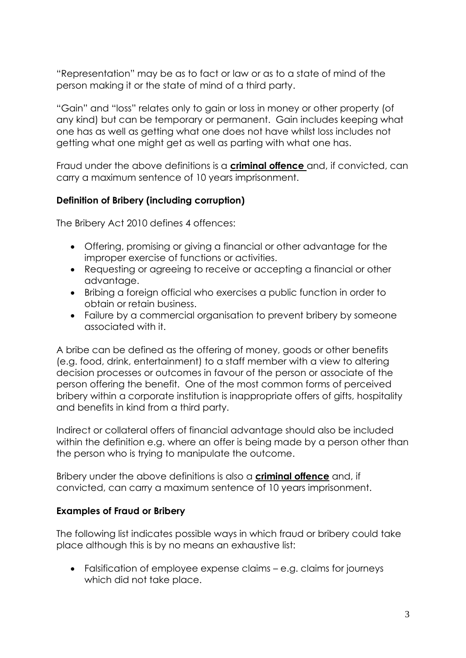"Representation" may be as to fact or law or as to a state of mind of the person making it or the state of mind of a third party.

"Gain" and "loss" relates only to gain or loss in money or other property (of any kind) but can be temporary or permanent. Gain includes keeping what one has as well as getting what one does not have whilst loss includes not getting what one might get as well as parting with what one has.

Fraud under the above definitions is a **criminal offence** and, if convicted, can carry a maximum sentence of 10 years imprisonment.

## **Definition of Bribery (including corruption)**

The Bribery Act 2010 defines 4 offences:

- Offering, promising or giving a financial or other advantage for the improper exercise of functions or activities.
- Requesting or agreeing to receive or accepting a financial or other advantage.
- Bribing a foreign official who exercises a public function in order to obtain or retain business.
- Failure by a commercial organisation to prevent bribery by someone associated with it.

A bribe can be defined as the offering of money, goods or other benefits (e.g. food, drink, entertainment) to a staff member with a view to altering decision processes or outcomes in favour of the person or associate of the person offering the benefit. One of the most common forms of perceived bribery within a corporate institution is inappropriate offers of gifts, hospitality and benefits in kind from a third party.

Indirect or collateral offers of financial advantage should also be included within the definition e.g. where an offer is being made by a person other than the person who is trying to manipulate the outcome.

Bribery under the above definitions is also a **criminal offence** and, if convicted, can carry a maximum sentence of 10 years imprisonment.

## **Examples of Fraud or Bribery**

The following list indicates possible ways in which fraud or bribery could take place although this is by no means an exhaustive list:

• Falsification of employee expense claims – e.g. claims for journeys which did not take place.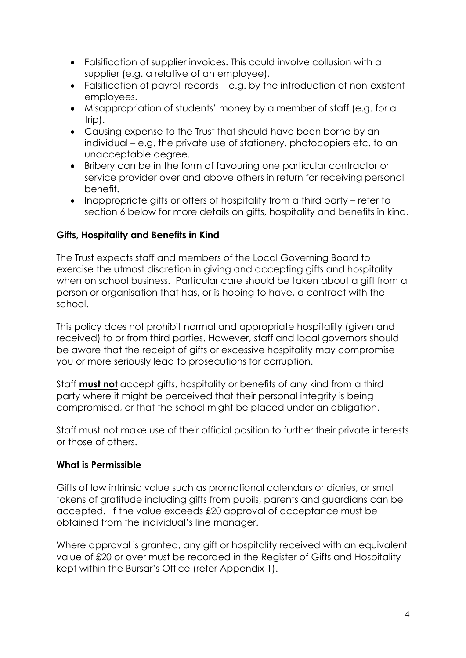- Falsification of supplier invoices. This could involve collusion with a supplier (e.g. a relative of an employee).
- Falsification of payroll records e.g. by the introduction of non-existent employees.
- Misappropriation of students' money by a member of staff (e.g. for a trip).
- Causing expense to the Trust that should have been borne by an individual – e.g. the private use of stationery, photocopiers etc. to an unacceptable degree.
- Bribery can be in the form of favouring one particular contractor or service provider over and above others in return for receiving personal benefit.
- Inappropriate gifts or offers of hospitality from a third party refer to section 6 below for more details on gifts, hospitality and benefits in kind.

## **Gifts, Hospitality and Benefits in Kind**

The Trust expects staff and members of the Local Governing Board to exercise the utmost discretion in giving and accepting gifts and hospitality when on school business. Particular care should be taken about a gift from a person or organisation that has, or is hoping to have, a contract with the school.

This policy does not prohibit normal and appropriate hospitality (given and received) to or from third parties. However, staff and local governors should be aware that the receipt of gifts or excessive hospitality may compromise you or more seriously lead to prosecutions for corruption.

Staff **must not** accept gifts, hospitality or benefits of any kind from a third party where it might be perceived that their personal integrity is being compromised, or that the school might be placed under an obligation.

Staff must not make use of their official position to further their private interests or those of others.

## **What is Permissible**

Gifts of low intrinsic value such as promotional calendars or diaries, or small tokens of gratitude including gifts from pupils, parents and guardians can be accepted. If the value exceeds £20 approval of acceptance must be obtained from the individual's line manager.

Where approval is granted, any gift or hospitality received with an equivalent value of £20 or over must be recorded in the Register of Gifts and Hospitality kept within the Bursar's Office (refer Appendix 1).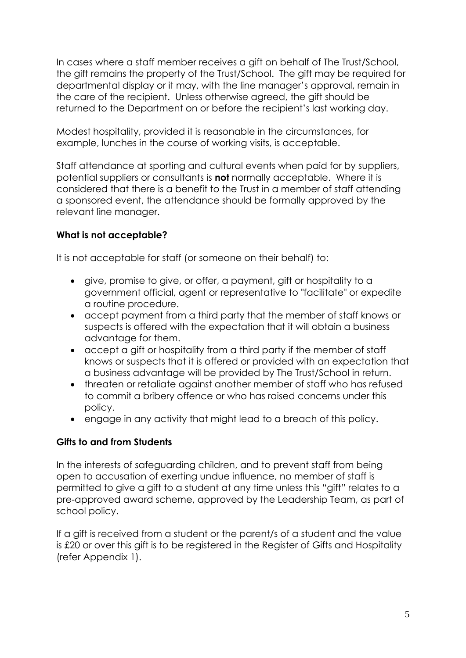In cases where a staff member receives a gift on behalf of The Trust/School, the gift remains the property of the Trust/School. The gift may be required for departmental display or it may, with the line manager's approval, remain in the care of the recipient. Unless otherwise agreed, the gift should be returned to the Department on or before the recipient's last working day.

Modest hospitality, provided it is reasonable in the circumstances, for example, lunches in the course of working visits, is acceptable.

Staff attendance at sporting and cultural events when paid for by suppliers, potential suppliers or consultants is **not** normally acceptable. Where it is considered that there is a benefit to the Trust in a member of staff attending a sponsored event, the attendance should be formally approved by the relevant line manager.

## **What is not acceptable?**

It is not acceptable for staff (or someone on their behalf) to:

- give, promise to give, or offer, a payment, gift or hospitality to a government official, agent or representative to "facilitate" or expedite a routine procedure.
- accept payment from a third party that the member of staff knows or suspects is offered with the expectation that it will obtain a business advantage for them.
- accept a gift or hospitality from a third party if the member of staff knows or suspects that it is offered or provided with an expectation that a business advantage will be provided by The Trust/School in return.
- threaten or retaliate against another member of staff who has refused to commit a bribery offence or who has raised concerns under this policy.
- engage in any activity that might lead to a breach of this policy.

## **Gifts to and from Students**

In the interests of safeguarding children, and to prevent staff from being open to accusation of exerting undue influence, no member of staff is permitted to give a gift to a student at any time unless this "gift" relates to a pre-approved award scheme, approved by the Leadership Team, as part of school policy.

If a gift is received from a student or the parent/s of a student and the value is £20 or over this gift is to be registered in the Register of Gifts and Hospitality (refer Appendix 1).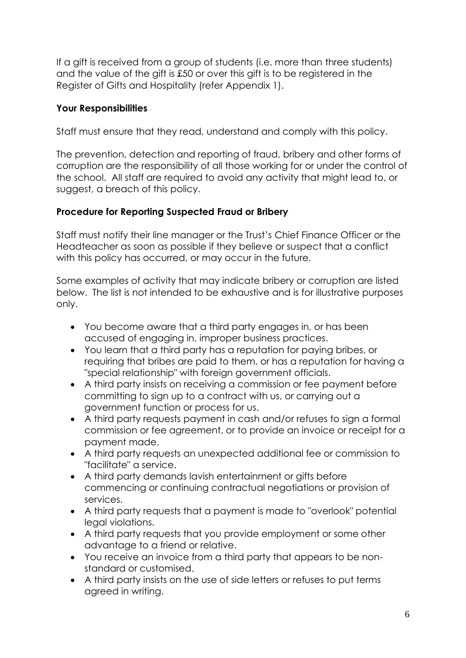If a gift is received from a group of students (i.e. more than three students) and the value of the gift is £50 or over this gift is to be registered in the Register of Gifts and Hospitality (refer Appendix 1).

# **Your Responsibilities**

Staff must ensure that they read, understand and comply with this policy.

The prevention, detection and reporting of fraud, bribery and other forms of corruption are the responsibility of all those working for or under the control of the school. All staff are required to avoid any activity that might lead to, or suggest, a breach of this policy.

## **Procedure for Reporting Suspected Fraud or Bribery**

Staff must notify their line manager or the Trust's Chief Finance Officer or the Headteacher as soon as possible if they believe or suspect that a conflict with this policy has occurred, or may occur in the future.

Some examples of activity that may indicate bribery or corruption are listed below. The list is not intended to be exhaustive and is for illustrative purposes only.

- You become aware that a third party engages in, or has been accused of engaging in, improper business practices.
- You learn that a third party has a reputation for paying bribes, or requiring that bribes are paid to them, or has a reputation for having a "special relationship" with foreign government officials.
- A third party insists on receiving a commission or fee payment before committing to sign up to a contract with us, or carrying out a government function or process for us.
- A third party requests payment in cash and/or refuses to sign a formal commission or fee agreement, or to provide an invoice or receipt for a payment made.
- A third party requests an unexpected additional fee or commission to "facilitate" a service.
- A third party demands lavish entertainment or gifts before commencing or continuing contractual negotiations or provision of services.
- A third party requests that a payment is made to "overlook" potential legal violations.
- A third party requests that you provide employment or some other advantage to a friend or relative.
- You receive an invoice from a third party that appears to be nonstandard or customised.
- A third party insists on the use of side letters or refuses to put terms agreed in writing.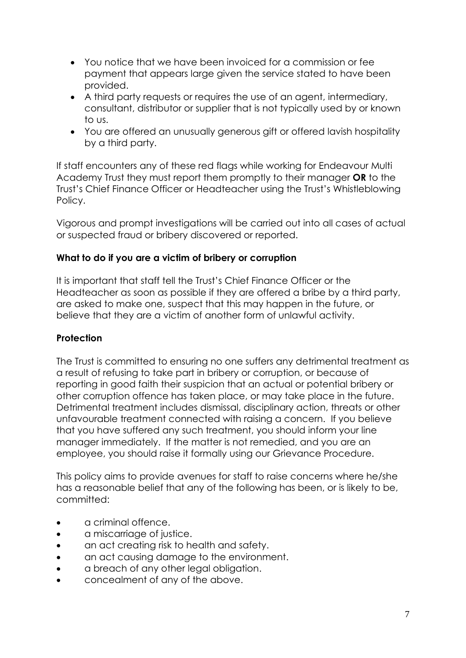- You notice that we have been invoiced for a commission or fee payment that appears large given the service stated to have been provided.
- A third party requests or requires the use of an agent, intermediary, consultant, distributor or supplier that is not typically used by or known to us.
- You are offered an unusually generous gift or offered lavish hospitality by a third party.

If staff encounters any of these red flags while working for Endeavour Multi Academy Trust they must report them promptly to their manager **OR** to the Trust's Chief Finance Officer or Headteacher using the Trust's Whistleblowing Policy.

Vigorous and prompt investigations will be carried out into all cases of actual or suspected fraud or bribery discovered or reported.

## **What to do if you are a victim of bribery or corruption**

It is important that staff tell the Trust's Chief Finance Officer or the Headteacher as soon as possible if they are offered a bribe by a third party, are asked to make one, suspect that this may happen in the future, or believe that they are a victim of another form of unlawful activity.

## **Protection**

The Trust is committed to ensuring no one suffers any detrimental treatment as a result of refusing to take part in bribery or corruption, or because of reporting in good faith their suspicion that an actual or potential bribery or other corruption offence has taken place, or may take place in the future. Detrimental treatment includes dismissal, disciplinary action, threats or other unfavourable treatment connected with raising a concern. If you believe that you have suffered any such treatment, you should inform your line manager immediately. If the matter is not remedied, and you are an employee, you should raise it formally using our Grievance Procedure.

This policy aims to provide avenues for staff to raise concerns where he/she has a reasonable belief that any of the following has been, or is likely to be, committed:

- a criminal offence.
- a miscarriage of justice.
- an act creating risk to health and safety.
- an act causing damage to the environment.
- a breach of any other legal obligation.
- concealment of any of the above.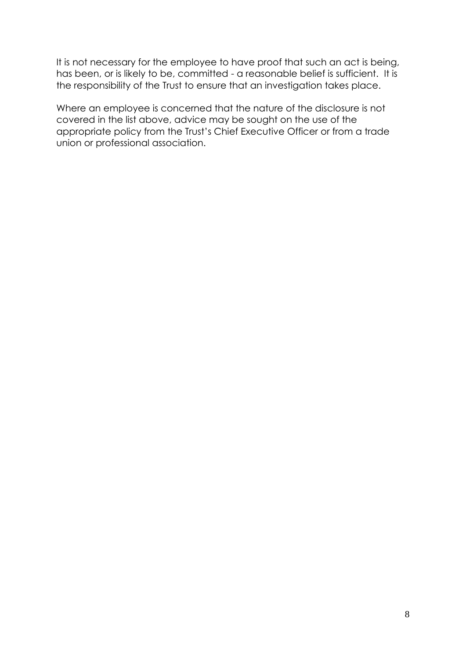It is not necessary for the employee to have proof that such an act is being, has been, or is likely to be, committed - a reasonable belief is sufficient. It is the responsibility of the Trust to ensure that an investigation takes place.

Where an employee is concerned that the nature of the disclosure is not covered in the list above, advice may be sought on the use of the appropriate policy from the Trust's Chief Executive Officer or from a trade union or professional association.